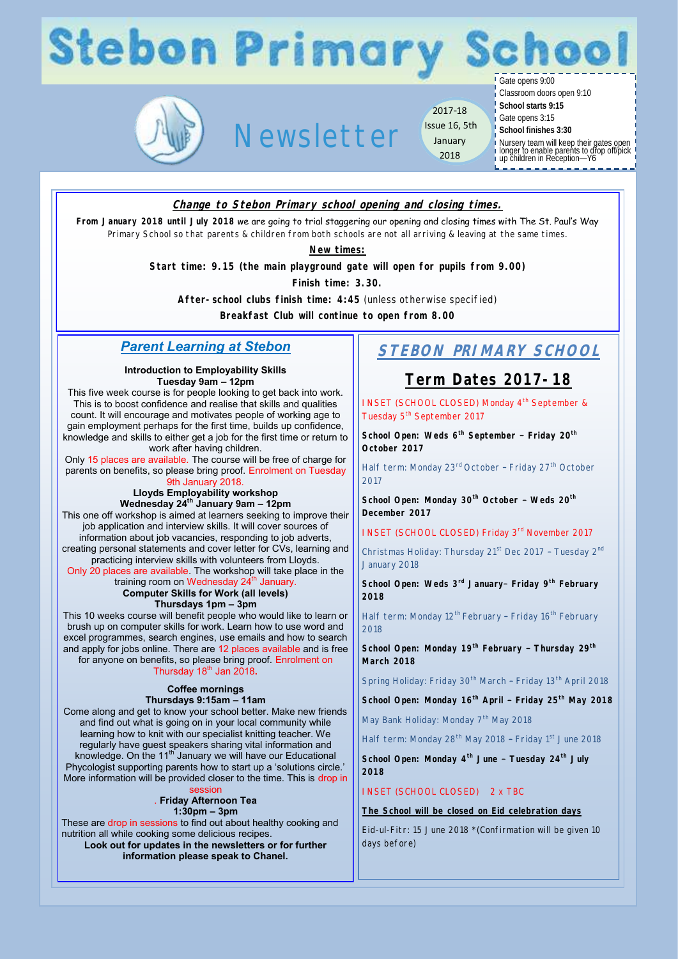# **Stebon Primary Schoo**

Gate opens 9:00



# Newsletter

2017-18 Issue 16, 5th January 2018

Classroom doors open 9:10 **School starts 9:15**

Gate opens 3:15

**School finishes 3:30**

Nursery team will keep their gates open longer to enable parents to drop off/pick up children in Reception—Y6

**Change to Stebon Primary school opening and closing times.**

**From January 2018 until July 2018** we are going to trial staggering our opening and closing times with The St. Paul's Way Primary School so that parents & children from both schools are not all arriving & leaving at the same times.

**New times:**

**Start time: 9.15 (the main playground gate will open for pupils from 9.00)**

**Finish time: 3.30.** 

**After-school clubs finish time: 4:45** (unless otherwise specified)

**Breakfast Club will continue to open from 8.00**

### *Parent Learning at Stebon*

#### **Introduction to Employability Skills Tuesday 9am – 12pm**

This five week course is for people looking to get back into work. This is to boost confidence and realise that skills and qualities count. It will encourage and motivates people of working age to gain employment perhaps for the first time, builds up confidence, knowledge and skills to either get a job for the first time or return to work after having children.

Only 15 places are available. The course will be free of charge for parents on benefits, so please bring proof. Enrolment on Tuesday 9th January 2018.

**Lloyds Employability workshop Wednesday 24th January 9am – 12pm** 

This one off workshop is aimed at learners seeking to improve their job application and interview skills. It will cover sources of information about job vacancies, responding to job adverts,

creating personal statements and cover letter for CVs, learning and practicing interview skills with volunteers from Lloyds. Only 20 places are available. The workshop will take place in the

training room on Wednesday 24<sup>th</sup> January.

**Computer Skills for Work (all levels)**

**Thursdays 1pm – 3pm** 

This 10 weeks course will benefit people who would like to learn or brush up on computer skills for work. Learn how to use word and excel programmes, search engines, use emails and how to search and apply for jobs online. There are 12 places available and is free for anyone on benefits, so please bring proof. Enrolment on Thursday 18<sup>th</sup> Jan 2018.

#### **Coffee mornings Thursdays 9:15am – 11am**

Come along and get to know your school better. Make new friends and find out what is going on in your local community while learning how to knit with our specialist knitting teacher. We regularly have guest speakers sharing vital information and knowledge. On the  $11<sup>th</sup>$  January we will have our Educational Phycologist supporting parents how to start up a 'solutions circle.' More information will be provided closer to the time. This is drop in

session . **Friday Afternoon Tea** 

**1:30pm – 3pm** 

These are drop in sessions to find out about healthy cooking and nutrition all while cooking some delicious recipes.

**Look out for updates in the newsletters or for further information please speak to Chanel.**

### **STEBON PRIMARY SCHOOL**

### **Term Dates 2017-18**

INSET (SCHOOL CLOSED) Monday 4<sup>th</sup> September & Tuesday 5<sup>th</sup> September 2017

**School Open: Weds 6th September – Friday 20th October 2017**

Half term: Monday 23<sup>rd</sup> October - Friday 27<sup>th</sup> October 2017

**School Open: Monday 30th October – Weds 20th December 2017** 

INSET (SCHOOL CLOSED) Friday 3rd November 2017

Christmas Holiday: Thursday 21<sup>st</sup> Dec 2017 - Tuesday 2<sup>nd</sup> January 2018

**School Open: Weds 3rd January– Friday 9th February 2018**

Half term: Monday 12<sup>th</sup> February - Friday 16<sup>th</sup> February 2018

**School Open: Monday 19th February – Thursday 29th March 2018**

Spring Holiday: Friday 30<sup>th</sup> March - Friday 13<sup>th</sup> April 2018

**School Open: Monday 16th April – Friday 25th May 2018**

May Bank Holiday: Monday 7<sup>th</sup> May 2018

Half term: Monday 28<sup>th</sup> May 2018 - Friday 1<sup>st</sup> June 2018

**School Open: Monday 4th June – Tuesday 24th July 2018**

INSET (SCHOOL CLOSED) 2 x TBC

**The School will be closed on Eid celebration days**

Eid-ul-Fitr: 15 June 2018 \*(Confirmation will be given 10 days before)